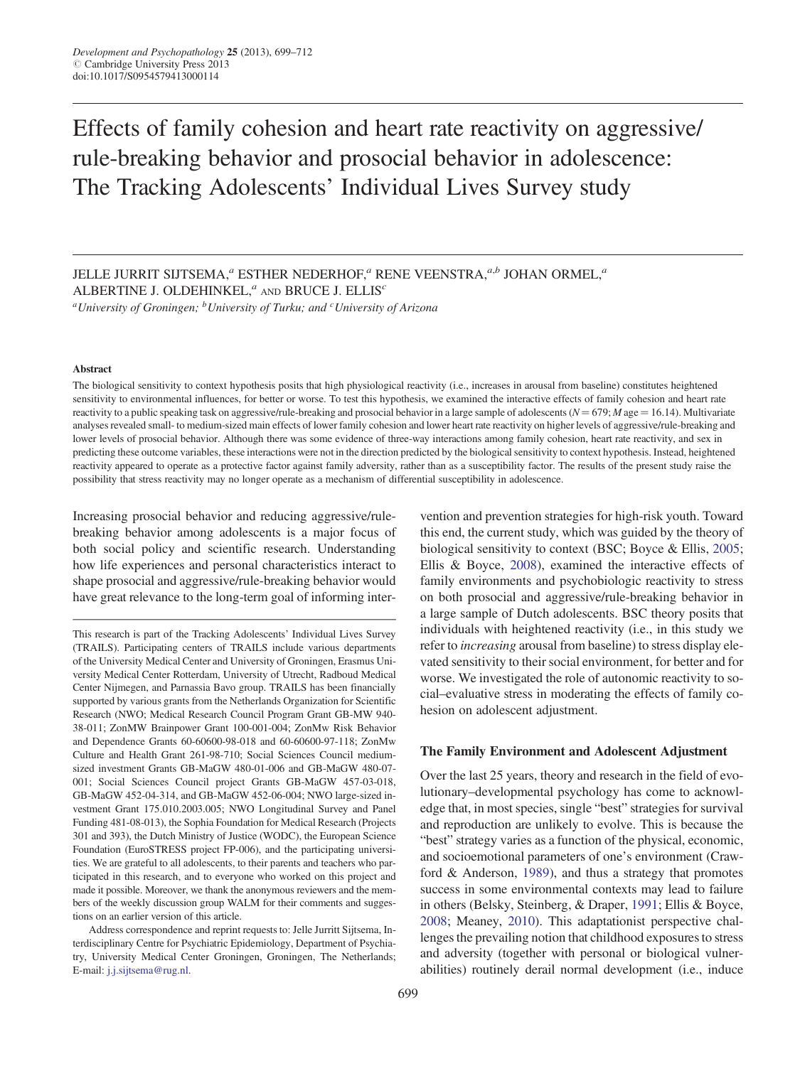# Effects of family cohesion and heart rate reactivity on aggressive/ rule-breaking behavior and prosocial behavior in adolescence: The Tracking Adolescents' Individual Lives Survey study

JELLE JURRIT SIJTSEMA, $\phantom{}^{a}$ ESTHER NEDERHOF, $\phantom{}^{a}$ RENE VEENSTRA, $\phantom{}^{a,b}$  JOHAN ORMEL, $\phantom{}^{a}$ ALBERTINE J. OLDEHINKEL, $^a$  and BRUCE J. ELLIS<sup>c</sup>

<sup>a</sup>University of Groningen;  $^b$ University of Turku; and <sup>c</sup>University of Arizona

#### Abstract

The biological sensitivity to context hypothesis posits that high physiological reactivity (i.e., increases in arousal from baseline) constitutes heightened sensitivity to environmental influences, for better or worse. To test this hypothesis, we examined the interactive effects of family cohesion and heart rate reactivity to a public speaking task on aggressive/rule-breaking and prosocial behavior in a large sample of adolescents ( $N = 679$ ; M age = 16.14). Multivariate analyses revealed small- to medium-sized main effects of lower family cohesion and lower heart rate reactivity on higher levels of aggressive/rule-breaking and lower levels of prosocial behavior. Although there was some evidence of three-way interactions among family cohesion, heart rate reactivity, and sex in predicting these outcome variables, these interactions were not in the direction predicted by the biological sensitivity to context hypothesis. Instead, heightened reactivity appeared to operate as a protective factor against family adversity, rather than as a susceptibility factor. The results of the present study raise the possibility that stress reactivity may no longer operate as a mechanism of differential susceptibility in adolescence.

Increasing prosocial behavior and reducing aggressive/rulebreaking behavior among adolescents is a major focus of both social policy and scientific research. Understanding how life experiences and personal characteristics interact to shape prosocial and aggressive/rule-breaking behavior would have great relevance to the long-term goal of informing inter-

This research is part of the Tracking Adolescents' Individual Lives Survey (TRAILS). Participating centers of TRAILS include various departments of the University Medical Center and University of Groningen, Erasmus University Medical Center Rotterdam, University of Utrecht, Radboud Medical Center Nijmegen, and Parnassia Bavo group. TRAILS has been financially supported by various grants from the Netherlands Organization for Scientific Research (NWO; Medical Research Council Program Grant GB-MW 940- 38-011; ZonMW Brainpower Grant 100-001-004; ZonMw Risk Behavior and Dependence Grants 60-60600-98-018 and 60-60600-97-118; ZonMw Culture and Health Grant 261-98-710; Social Sciences Council mediumsized investment Grants GB-MaGW 480-01-006 and GB-MaGW 480-07- 001; Social Sciences Council project Grants GB-MaGW 457-03-018, GB-MaGW 452-04-314, and GB-MaGW 452-06-004; NWO large-sized investment Grant 175.010.2003.005; NWO Longitudinal Survey and Panel Funding 481-08-013), the Sophia Foundation for Medical Research (Projects 301 and 393), the Dutch Ministry of Justice (WODC), the European Science Foundation (EuroSTRESS project FP-006), and the participating universities. We are grateful to all adolescents, to their parents and teachers who participated in this research, and to everyone who worked on this project and made it possible. Moreover, we thank the anonymous reviewers and the members of the weekly discussion group WALM for their comments and suggestions on an earlier version of this article.

Address correspondence and reprint requests to: Jelle Jurritt Sijtsema, Interdisciplinary Centre for Psychiatric Epidemiology, Department of Psychiatry, University Medical Center Groningen, Groningen, The Netherlands; E-mail: [j.j.sijtsema@rug.nl.](mailto:j.j.sijtsema@rug.nl)

vention and prevention strategies for high-risk youth. Toward this end, the current study, which was guided by the theory of biological sensitivity to context (BSC; Boyce & Ellis, [2005](#page-12-0); Ellis & Boyce, [2008\)](#page-12-0), examined the interactive effects of family environments and psychobiologic reactivity to stress on both prosocial and aggressive/rule-breaking behavior in a large sample of Dutch adolescents. BSC theory posits that individuals with heightened reactivity (i.e., in this study we refer to increasing arousal from baseline) to stress display elevated sensitivity to their social environment, for better and for worse. We investigated the role of autonomic reactivity to social–evaluative stress in moderating the effects of family cohesion on adolescent adjustment.

#### The Family Environment and Adolescent Adjustment

Over the last 25 years, theory and research in the field of evolutionary–developmental psychology has come to acknowledge that, in most species, single "best" strategies for survival and reproduction are unlikely to evolve. This is because the "best" strategy varies as a function of the physical, economic, and socioemotional parameters of one's environment (Crawford & Anderson, [1989\)](#page-12-0), and thus a strategy that promotes success in some environmental contexts may lead to failure in others (Belsky, Steinberg, & Draper, [1991;](#page-12-0) Ellis & Boyce, [2008;](#page-12-0) Meaney, [2010](#page-13-0)). This adaptationist perspective challenges the prevailing notion that childhood exposures to stress and adversity (together with personal or biological vulnerabilities) routinely derail normal development (i.e., induce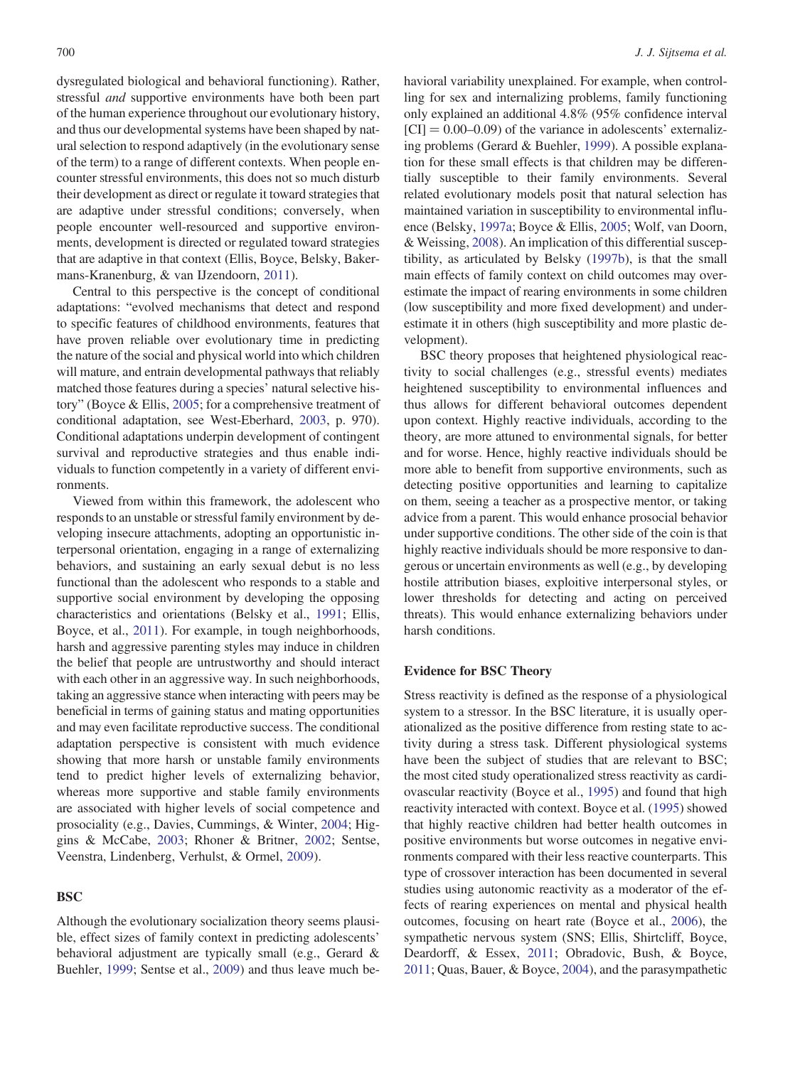dysregulated biological and behavioral functioning). Rather, stressful and supportive environments have both been part of the human experience throughout our evolutionary history, and thus our developmental systems have been shaped by natural selection to respond adaptively (in the evolutionary sense of the term) to a range of different contexts. When people encounter stressful environments, this does not so much disturb their development as direct or regulate it toward strategies that are adaptive under stressful conditions; conversely, when people encounter well-resourced and supportive environments, development is directed or regulated toward strategies that are adaptive in that context (Ellis, Boyce, Belsky, Bakermans-Kranenburg, & van IJzendoorn, [2011\)](#page-12-0).

Central to this perspective is the concept of conditional adaptations: "evolved mechanisms that detect and respond to specific features of childhood environments, features that have proven reliable over evolutionary time in predicting the nature of the social and physical world into which children will mature, and entrain developmental pathways that reliably matched those features during a species' natural selective history" (Boyce & Ellis, [2005](#page-12-0); for a comprehensive treatment of conditional adaptation, see West-Eberhard, [2003](#page-13-0), p. 970). Conditional adaptations underpin development of contingent survival and reproductive strategies and thus enable individuals to function competently in a variety of different environments.

Viewed from within this framework, the adolescent who responds to an unstable or stressful family environment by developing insecure attachments, adopting an opportunistic interpersonal orientation, engaging in a range of externalizing behaviors, and sustaining an early sexual debut is no less functional than the adolescent who responds to a stable and supportive social environment by developing the opposing characteristics and orientations (Belsky et al., [1991](#page-12-0); Ellis, Boyce, et al., [2011\)](#page-12-0). For example, in tough neighborhoods, harsh and aggressive parenting styles may induce in children the belief that people are untrustworthy and should interact with each other in an aggressive way. In such neighborhoods, taking an aggressive stance when interacting with peers may be beneficial in terms of gaining status and mating opportunities and may even facilitate reproductive success. The conditional adaptation perspective is consistent with much evidence showing that more harsh or unstable family environments tend to predict higher levels of externalizing behavior, whereas more supportive and stable family environments are associated with higher levels of social competence and prosociality (e.g., Davies, Cummings, & Winter, [2004](#page-12-0); Higgins & McCabe, [2003;](#page-13-0) Rhoner & Britner, [2002](#page-13-0); Sentse, Veenstra, Lindenberg, Verhulst, & Ormel, [2009\)](#page-13-0).

# **BSC**

Although the evolutionary socialization theory seems plausible, effect sizes of family context in predicting adolescents' behavioral adjustment are typically small (e.g., Gerard & Buehler, [1999;](#page-12-0) Sentse et al., [2009](#page-13-0)) and thus leave much behavioral variability unexplained. For example, when controlling for sex and internalizing problems, family functioning only explained an additional 4.8% (95% confidence interval  $[CI] = 0.00{\text{-}}0.09$  of the variance in adolescents' externalizing problems (Gerard & Buehler, [1999](#page-12-0)). A possible explanation for these small effects is that children may be differentially susceptible to their family environments. Several related evolutionary models posit that natural selection has maintained variation in susceptibility to environmental influence (Belsky, [1997a](#page-12-0); Boyce & Ellis, [2005;](#page-12-0) Wolf, van Doorn, & Weissing, [2008](#page-13-0)). An implication of this differential susceptibility, as articulated by Belsky ([1997b\)](#page-12-0), is that the small main effects of family context on child outcomes may overestimate the impact of rearing environments in some children (low susceptibility and more fixed development) and underestimate it in others (high susceptibility and more plastic development).

BSC theory proposes that heightened physiological reactivity to social challenges (e.g., stressful events) mediates heightened susceptibility to environmental influences and thus allows for different behavioral outcomes dependent upon context. Highly reactive individuals, according to the theory, are more attuned to environmental signals, for better and for worse. Hence, highly reactive individuals should be more able to benefit from supportive environments, such as detecting positive opportunities and learning to capitalize on them, seeing a teacher as a prospective mentor, or taking advice from a parent. This would enhance prosocial behavior under supportive conditions. The other side of the coin is that highly reactive individuals should be more responsive to dangerous or uncertain environments as well (e.g., by developing hostile attribution biases, exploitive interpersonal styles, or lower thresholds for detecting and acting on perceived threats). This would enhance externalizing behaviors under harsh conditions.

# Evidence for BSC Theory

Stress reactivity is defined as the response of a physiological system to a stressor. In the BSC literature, it is usually operationalized as the positive difference from resting state to activity during a stress task. Different physiological systems have been the subject of studies that are relevant to BSC; the most cited study operationalized stress reactivity as cardiovascular reactivity (Boyce et al., [1995\)](#page-12-0) and found that high reactivity interacted with context. Boyce et al. ([1995\)](#page-12-0) showed that highly reactive children had better health outcomes in positive environments but worse outcomes in negative environments compared with their less reactive counterparts. This type of crossover interaction has been documented in several studies using autonomic reactivity as a moderator of the effects of rearing experiences on mental and physical health outcomes, focusing on heart rate (Boyce et al., [2006](#page-12-0)), the sympathetic nervous system (SNS; Ellis, Shirtcliff, Boyce, Deardorff, & Essex, [2011;](#page-12-0) Obradovic, Bush, & Boyce, [2011](#page-13-0); Quas, Bauer, & Boyce, [2004](#page-13-0)), and the parasympathetic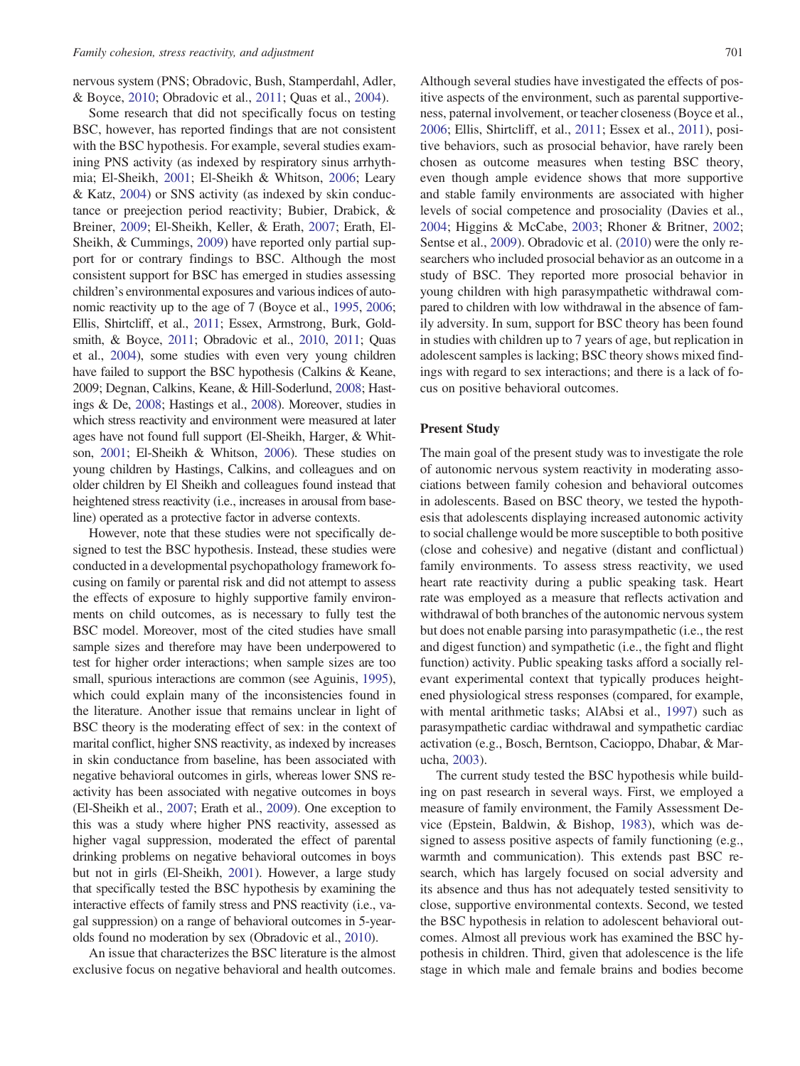nervous system (PNS; Obradovic, Bush, Stamperdahl, Adler, & Boyce, [2010](#page-13-0); Obradovic et al., [2011;](#page-13-0) Quas et al., [2004](#page-13-0)).

Some research that did not specifically focus on testing BSC, however, has reported findings that are not consistent with the BSC hypothesis. For example, several studies examining PNS activity (as indexed by respiratory sinus arrhythmia; El-Sheikh, [2001;](#page-12-0) El-Sheikh & Whitson, [2006](#page-12-0); Leary & Katz, [2004\)](#page-13-0) or SNS activity (as indexed by skin conductance or preejection period reactivity; Bubier, Drabick, & Breiner, [2009](#page-12-0); El-Sheikh, Keller, & Erath, [2007](#page-12-0); Erath, El-Sheikh, & Cummings, [2009](#page-12-0)) have reported only partial support for or contrary findings to BSC. Although the most consistent support for BSC has emerged in studies assessing children's environmental exposures and various indices of autonomic reactivity up to the age of 7 (Boyce et al., [1995,](#page-12-0) [2006](#page-12-0); Ellis, Shirtcliff, et al., [2011](#page-12-0); Essex, Armstrong, Burk, Goldsmith, & Boyce, [2011](#page-12-0); Obradovic et al., [2010](#page-13-0), [2011](#page-13-0); Quas et al., [2004](#page-13-0)), some studies with even very young children have failed to support the BSC hypothesis (Calkins & Keane, 2009; Degnan, Calkins, Keane, & Hill-Soderlund, [2008](#page-12-0); Hastings & De, [2008;](#page-12-0) Hastings et al., [2008\)](#page-12-0). Moreover, studies in which stress reactivity and environment were measured at later ages have not found full support (El-Sheikh, Harger, & Whitson, [2001;](#page-12-0) El-Sheikh & Whitson, [2006](#page-12-0)). These studies on young children by Hastings, Calkins, and colleagues and on older children by El Sheikh and colleagues found instead that heightened stress reactivity (i.e., increases in arousal from baseline) operated as a protective factor in adverse contexts.

However, note that these studies were not specifically designed to test the BSC hypothesis. Instead, these studies were conducted in a developmental psychopathology framework focusing on family or parental risk and did not attempt to assess the effects of exposure to highly supportive family environments on child outcomes, as is necessary to fully test the BSC model. Moreover, most of the cited studies have small sample sizes and therefore may have been underpowered to test for higher order interactions; when sample sizes are too small, spurious interactions are common (see Aguinis, [1995](#page-12-0)), which could explain many of the inconsistencies found in the literature. Another issue that remains unclear in light of BSC theory is the moderating effect of sex: in the context of marital conflict, higher SNS reactivity, as indexed by increases in skin conductance from baseline, has been associated with negative behavioral outcomes in girls, whereas lower SNS reactivity has been associated with negative outcomes in boys (El-Sheikh et al., [2007;](#page-12-0) Erath et al., [2009\)](#page-12-0). One exception to this was a study where higher PNS reactivity, assessed as higher vagal suppression, moderated the effect of parental drinking problems on negative behavioral outcomes in boys but not in girls (El-Sheikh, [2001](#page-12-0)). However, a large study that specifically tested the BSC hypothesis by examining the interactive effects of family stress and PNS reactivity (i.e., vagal suppression) on a range of behavioral outcomes in 5-yearolds found no moderation by sex (Obradovic et al., [2010](#page-13-0)).

An issue that characterizes the BSC literature is the almost exclusive focus on negative behavioral and health outcomes.

Although several studies have investigated the effects of positive aspects of the environment, such as parental supportiveness, paternal involvement, or teacher closeness (Boyce et al., [2006;](#page-12-0) Ellis, Shirtcliff, et al., [2011](#page-12-0); Essex et al., [2011\)](#page-12-0), positive behaviors, such as prosocial behavior, have rarely been chosen as outcome measures when testing BSC theory, even though ample evidence shows that more supportive and stable family environments are associated with higher levels of social competence and prosociality (Davies et al., [2004;](#page-12-0) Higgins & McCabe, [2003;](#page-13-0) Rhoner & Britner, [2002](#page-13-0); Sentse et al., [2009\)](#page-13-0). Obradovic et al. [\(2010](#page-13-0)) were the only researchers who included prosocial behavior as an outcome in a study of BSC. They reported more prosocial behavior in young children with high parasympathetic withdrawal compared to children with low withdrawal in the absence of family adversity. In sum, support for BSC theory has been found in studies with children up to 7 years of age, but replication in adolescent samples is lacking; BSC theory shows mixed findings with regard to sex interactions; and there is a lack of focus on positive behavioral outcomes.

## Present Study

The main goal of the present study was to investigate the role of autonomic nervous system reactivity in moderating associations between family cohesion and behavioral outcomes in adolescents. Based on BSC theory, we tested the hypothesis that adolescents displaying increased autonomic activity to social challenge would be more susceptible to both positive (close and cohesive) and negative (distant and conflictual) family environments. To assess stress reactivity, we used heart rate reactivity during a public speaking task. Heart rate was employed as a measure that reflects activation and withdrawal of both branches of the autonomic nervous system but does not enable parsing into parasympathetic (i.e., the rest and digest function) and sympathetic (i.e., the fight and flight function) activity. Public speaking tasks afford a socially relevant experimental context that typically produces heightened physiological stress responses (compared, for example, with mental arithmetic tasks; AlAbsi et al., [1997](#page-12-0)) such as parasympathetic cardiac withdrawal and sympathetic cardiac activation (e.g., Bosch, Berntson, Cacioppo, Dhabar, & Marucha, [2003](#page-12-0)).

The current study tested the BSC hypothesis while building on past research in several ways. First, we employed a measure of family environment, the Family Assessment Device (Epstein, Baldwin, & Bishop, [1983\)](#page-12-0), which was designed to assess positive aspects of family functioning (e.g., warmth and communication). This extends past BSC research, which has largely focused on social adversity and its absence and thus has not adequately tested sensitivity to close, supportive environmental contexts. Second, we tested the BSC hypothesis in relation to adolescent behavioral outcomes. Almost all previous work has examined the BSC hypothesis in children. Third, given that adolescence is the life stage in which male and female brains and bodies become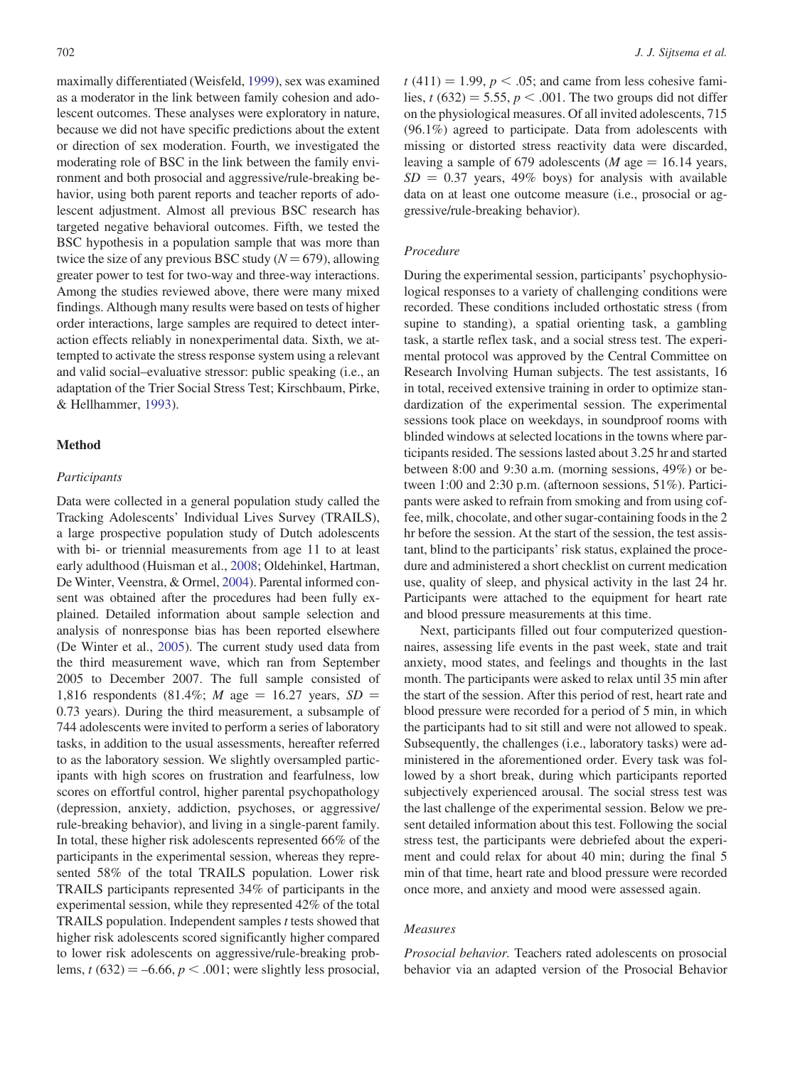maximally differentiated (Weisfeld, [1999\)](#page-13-0), sex was examined as a moderator in the link between family cohesion and adolescent outcomes. These analyses were exploratory in nature, because we did not have specific predictions about the extent or direction of sex moderation. Fourth, we investigated the moderating role of BSC in the link between the family environment and both prosocial and aggressive/rule-breaking behavior, using both parent reports and teacher reports of adolescent adjustment. Almost all previous BSC research has targeted negative behavioral outcomes. Fifth, we tested the BSC hypothesis in a population sample that was more than twice the size of any previous BSC study  $(N = 679)$ , allowing greater power to test for two-way and three-way interactions. Among the studies reviewed above, there were many mixed findings. Although many results were based on tests of higher order interactions, large samples are required to detect interaction effects reliably in nonexperimental data. Sixth, we attempted to activate the stress response system using a relevant and valid social–evaluative stressor: public speaking (i.e., an adaptation of the Trier Social Stress Test; Kirschbaum, Pirke, & Hellhammer, [1993](#page-13-0)).

# Method

## **Participants**

Data were collected in a general population study called the Tracking Adolescents' Individual Lives Survey (TRAILS), a large prospective population study of Dutch adolescents with bi- or triennial measurements from age 11 to at least early adulthood (Huisman et al., [2008](#page-13-0); Oldehinkel, Hartman, De Winter, Veenstra, & Ormel, [2004\)](#page-13-0). Parental informed consent was obtained after the procedures had been fully explained. Detailed information about sample selection and analysis of nonresponse bias has been reported elsewhere (De Winter et al., [2005](#page-12-0)). The current study used data from the third measurement wave, which ran from September 2005 to December 2007. The full sample consisted of 1,816 respondents (81.4%; *M* age = 16.27 years,  $SD =$ 0.73 years). During the third measurement, a subsample of 744 adolescents were invited to perform a series of laboratory tasks, in addition to the usual assessments, hereafter referred to as the laboratory session. We slightly oversampled participants with high scores on frustration and fearfulness, low scores on effortful control, higher parental psychopathology (depression, anxiety, addiction, psychoses, or aggressive/ rule-breaking behavior), and living in a single-parent family. In total, these higher risk adolescents represented 66% of the participants in the experimental session, whereas they represented 58% of the total TRAILS population. Lower risk TRAILS participants represented 34% of participants in the experimental session, while they represented 42% of the total TRAILS population. Independent samples  $t$  tests showed that higher risk adolescents scored significantly higher compared to lower risk adolescents on aggressive/rule-breaking problems,  $t$  (632) = -6.66,  $p < .001$ ; were slightly less prosocial,

 $t(411) = 1.99$ ,  $p < .05$ ; and came from less cohesive families,  $t$  (632) = 5.55,  $p < .001$ . The two groups did not differ on the physiological measures. Of all invited adolescents, 715 (96.1%) agreed to participate. Data from adolescents with missing or distorted stress reactivity data were discarded, leaving a sample of 679 adolescents ( $M$  age = 16.14 years,  $SD = 0.37$  years, 49% boys) for analysis with available data on at least one outcome measure (i.e., prosocial or aggressive/rule-breaking behavior).

## Procedure

During the experimental session, participants' psychophysiological responses to a variety of challenging conditions were recorded. These conditions included orthostatic stress (from supine to standing), a spatial orienting task, a gambling task, a startle reflex task, and a social stress test. The experimental protocol was approved by the Central Committee on Research Involving Human subjects. The test assistants, 16 in total, received extensive training in order to optimize standardization of the experimental session. The experimental sessions took place on weekdays, in soundproof rooms with blinded windows at selected locations in the towns where participants resided. The sessions lasted about 3.25 hr and started between 8:00 and 9:30 a.m. (morning sessions, 49%) or between 1:00 and 2:30 p.m. (afternoon sessions, 51%). Participants were asked to refrain from smoking and from using coffee, milk, chocolate, and other sugar-containing foods in the 2 hr before the session. At the start of the session, the test assistant, blind to the participants' risk status, explained the procedure and administered a short checklist on current medication use, quality of sleep, and physical activity in the last 24 hr. Participants were attached to the equipment for heart rate and blood pressure measurements at this time.

Next, participants filled out four computerized questionnaires, assessing life events in the past week, state and trait anxiety, mood states, and feelings and thoughts in the last month. The participants were asked to relax until 35 min after the start of the session. After this period of rest, heart rate and blood pressure were recorded for a period of 5 min, in which the participants had to sit still and were not allowed to speak. Subsequently, the challenges (i.e., laboratory tasks) were administered in the aforementioned order. Every task was followed by a short break, during which participants reported subjectively experienced arousal. The social stress test was the last challenge of the experimental session. Below we present detailed information about this test. Following the social stress test, the participants were debriefed about the experiment and could relax for about 40 min; during the final 5 min of that time, heart rate and blood pressure were recorded once more, and anxiety and mood were assessed again.

## Measures

Prosocial behavior. Teachers rated adolescents on prosocial behavior via an adapted version of the Prosocial Behavior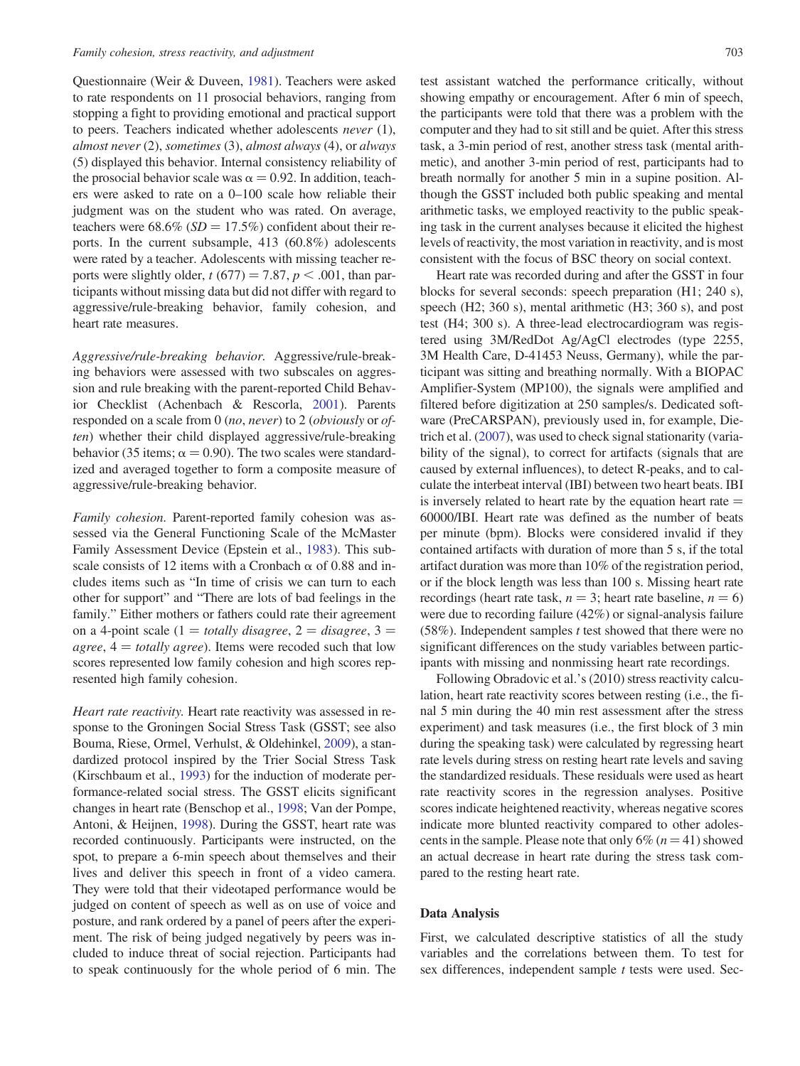Questionnaire (Weir & Duveen, [1981\)](#page-13-0). Teachers were asked to rate respondents on 11 prosocial behaviors, ranging from stopping a fight to providing emotional and practical support to peers. Teachers indicated whether adolescents never (1), almost never (2), sometimes (3), almost always (4), or always (5) displayed this behavior. Internal consistency reliability of the prosocial behavior scale was  $\alpha = 0.92$ . In addition, teachers were asked to rate on a 0–100 scale how reliable their judgment was on the student who was rated. On average, teachers were 68.6% ( $SD = 17.5\%$ ) confident about their reports. In the current subsample, 413 (60.8%) adolescents were rated by a teacher. Adolescents with missing teacher reports were slightly older,  $t(677) = 7.87$ ,  $p < .001$ , than participants without missing data but did not differ with regard to aggressive/rule-breaking behavior, family cohesion, and heart rate measures.

Aggressive/rule-breaking behavior. Aggressive/rule-breaking behaviors were assessed with two subscales on aggression and rule breaking with the parent-reported Child Behavior Checklist (Achenbach & Rescorla, [2001](#page-12-0)). Parents responded on a scale from 0 (no, never) to 2 (obviously or often) whether their child displayed aggressive/rule-breaking behavior (35 items;  $\alpha = 0.90$ ). The two scales were standardized and averaged together to form a composite measure of aggressive/rule-breaking behavior.

Family cohesion. Parent-reported family cohesion was assessed via the General Functioning Scale of the McMaster Family Assessment Device (Epstein et al., [1983](#page-12-0)). This subscale consists of 12 items with a Cronbach  $\alpha$  of 0.88 and includes items such as "In time of crisis we can turn to each other for support" and "There are lots of bad feelings in the family." Either mothers or fathers could rate their agreement on a 4-point scale (1 = totally disagree, 2 = disagree, 3 = agree,  $4 = totally agree$ ). Items were recoded such that low scores represented low family cohesion and high scores represented high family cohesion.

Heart rate reactivity. Heart rate reactivity was assessed in response to the Groningen Social Stress Task (GSST; see also Bouma, Riese, Ormel, Verhulst, & Oldehinkel, [2009\)](#page-12-0), a standardized protocol inspired by the Trier Social Stress Task (Kirschbaum et al., [1993\)](#page-13-0) for the induction of moderate performance-related social stress. The GSST elicits significant changes in heart rate (Benschop et al., [1998](#page-12-0); Van der Pompe, Antoni, & Heijnen, [1998\)](#page-13-0). During the GSST, heart rate was recorded continuously. Participants were instructed, on the spot, to prepare a 6-min speech about themselves and their lives and deliver this speech in front of a video camera. They were told that their videotaped performance would be judged on content of speech as well as on use of voice and posture, and rank ordered by a panel of peers after the experiment. The risk of being judged negatively by peers was included to induce threat of social rejection. Participants had to speak continuously for the whole period of 6 min. The

test assistant watched the performance critically, without showing empathy or encouragement. After 6 min of speech, the participants were told that there was a problem with the computer and they had to sit still and be quiet. After this stress task, a 3-min period of rest, another stress task (mental arithmetic), and another 3-min period of rest, participants had to breath normally for another 5 min in a supine position. Although the GSST included both public speaking and mental arithmetic tasks, we employed reactivity to the public speaking task in the current analyses because it elicited the highest levels of reactivity, the most variation in reactivity, and is most consistent with the focus of BSC theory on social context.

Heart rate was recorded during and after the GSST in four blocks for several seconds: speech preparation (H1; 240 s), speech (H2; 360 s), mental arithmetic (H3; 360 s), and post test (H4; 300 s). A three-lead electrocardiogram was registered using 3M/RedDot Ag/AgCl electrodes (type 2255, 3M Health Care, D-41453 Neuss, Germany), while the participant was sitting and breathing normally. With a BIOPAC Amplifier-System (MP100), the signals were amplified and filtered before digitization at 250 samples/s. Dedicated software (PreCARSPAN), previously used in, for example, Dietrich et al. [\(2007](#page-12-0)), was used to check signal stationarity (variability of the signal), to correct for artifacts (signals that are caused by external influences), to detect R-peaks, and to calculate the interbeat interval (IBI) between two heart beats. IBI is inversely related to heart rate by the equation heart rate  $=$ 60000/IBI. Heart rate was defined as the number of beats per minute (bpm). Blocks were considered invalid if they contained artifacts with duration of more than 5 s, if the total artifact duration was more than 10% of the registration period, or if the block length was less than 100 s. Missing heart rate recordings (heart rate task,  $n = 3$ ; heart rate baseline,  $n = 6$ ) were due to recording failure (42%) or signal-analysis failure  $(58\%)$ . Independent samples t test showed that there were no significant differences on the study variables between participants with missing and nonmissing heart rate recordings.

Following Obradovic et al.'s (2010) stress reactivity calculation, heart rate reactivity scores between resting (i.e., the final 5 min during the 40 min rest assessment after the stress experiment) and task measures (i.e., the first block of 3 min during the speaking task) were calculated by regressing heart rate levels during stress on resting heart rate levels and saving the standardized residuals. These residuals were used as heart rate reactivity scores in the regression analyses. Positive scores indicate heightened reactivity, whereas negative scores indicate more blunted reactivity compared to other adolescents in the sample. Please note that only 6% ( $n = 41$ ) showed an actual decrease in heart rate during the stress task compared to the resting heart rate.

#### Data Analysis

First, we calculated descriptive statistics of all the study variables and the correlations between them. To test for sex differences, independent sample t tests were used. Sec-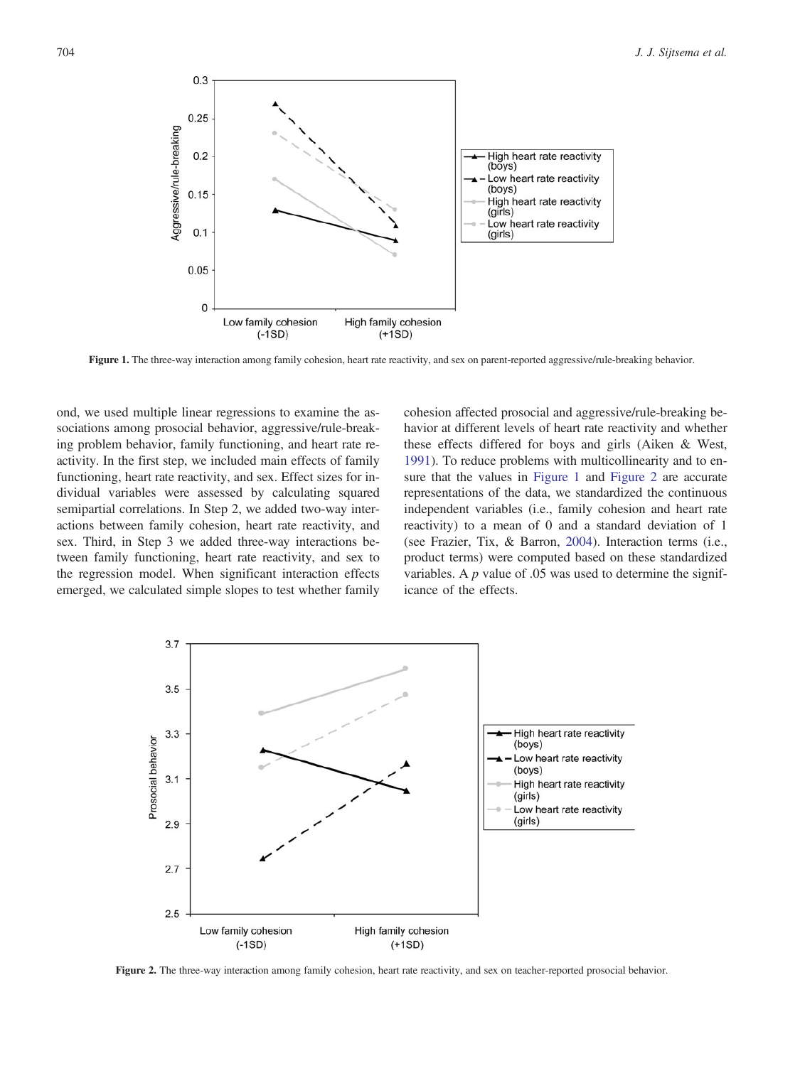<span id="page-5-0"></span>

Figure 1. The three-way interaction among family cohesion, heart rate reactivity, and sex on parent-reported aggressive/rule-breaking behavior.

ond, we used multiple linear regressions to examine the associations among prosocial behavior, aggressive/rule-breaking problem behavior, family functioning, and heart rate reactivity. In the first step, we included main effects of family functioning, heart rate reactivity, and sex. Effect sizes for individual variables were assessed by calculating squared semipartial correlations. In Step 2, we added two-way interactions between family cohesion, heart rate reactivity, and sex. Third, in Step 3 we added three-way interactions between family functioning, heart rate reactivity, and sex to the regression model. When significant interaction effects emerged, we calculated simple slopes to test whether family

cohesion affected prosocial and aggressive/rule-breaking behavior at different levels of heart rate reactivity and whether these effects differed for boys and girls (Aiken & West, [1991](#page-12-0)). To reduce problems with multicollinearity and to ensure that the values in Figure 1 and Figure 2 are accurate representations of the data, we standardized the continuous independent variables (i.e., family cohesion and heart rate reactivity) to a mean of 0 and a standard deviation of 1 (see Frazier, Tix, & Barron, [2004](#page-12-0)). Interaction terms (i.e., product terms) were computed based on these standardized variables. A  $p$  value of .05 was used to determine the significance of the effects.



Figure 2. The three-way interaction among family cohesion, heart rate reactivity, and sex on teacher-reported prosocial behavior.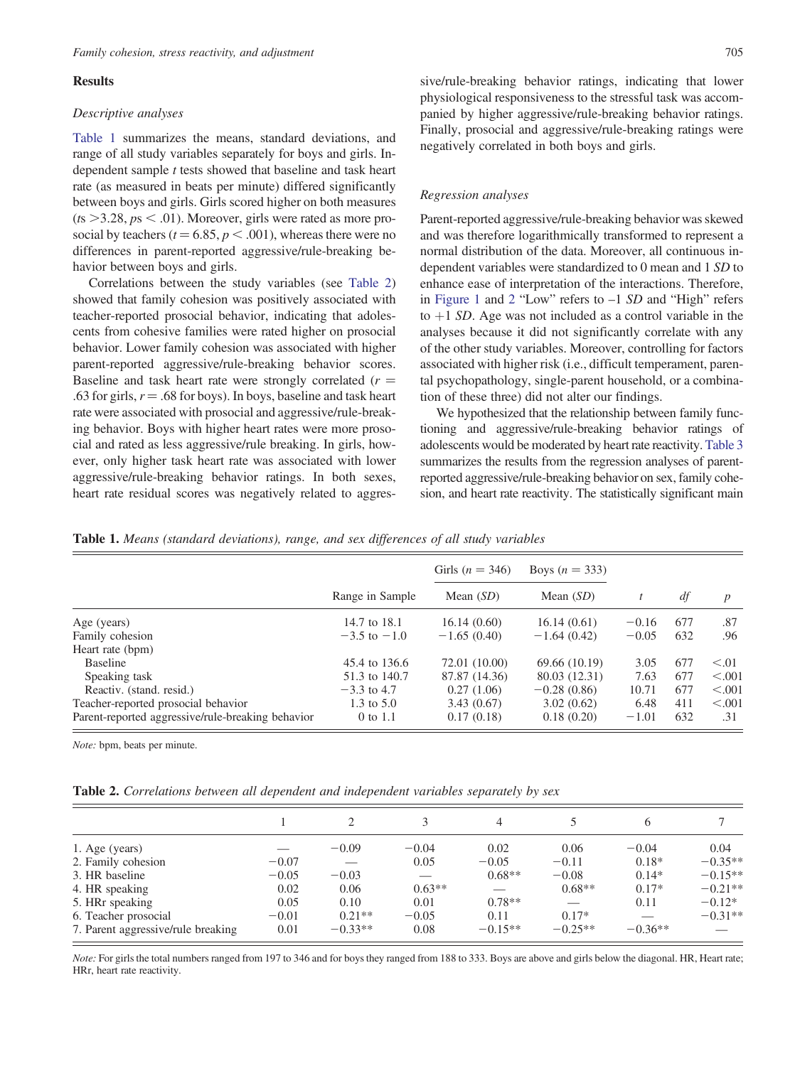## **Results**

#### Descriptive analyses

Table 1 summarizes the means, standard deviations, and range of all study variables separately for boys and girls. Independent sample  $t$  tests showed that baseline and task heart rate (as measured in beats per minute) differed significantly between boys and girls. Girls scored higher on both measures  $(ts > 3.28, ps < .01)$ . Moreover, girls were rated as more prosocial by teachers ( $t = 6.85$ ,  $p < .001$ ), whereas there were no differences in parent-reported aggressive/rule-breaking behavior between boys and girls.

Correlations between the study variables (see Table 2) showed that family cohesion was positively associated with teacher-reported prosocial behavior, indicating that adolescents from cohesive families were rated higher on prosocial behavior. Lower family cohesion was associated with higher parent-reported aggressive/rule-breaking behavior scores. Baseline and task heart rate were strongly correlated  $(r =$ .63 for girls,  $r = .68$  for boys). In boys, baseline and task heart rate were associated with prosocial and aggressive/rule-breaking behavior. Boys with higher heart rates were more prosocial and rated as less aggressive/rule breaking. In girls, however, only higher task heart rate was associated with lower aggressive/rule-breaking behavior ratings. In both sexes, heart rate residual scores was negatively related to aggressive/rule-breaking behavior ratings, indicating that lower physiological responsiveness to the stressful task was accompanied by higher aggressive/rule-breaking behavior ratings. Finally, prosocial and aggressive/rule-breaking ratings were negatively correlated in both boys and girls.

#### Regression analyses

Parent-reported aggressive/rule-breaking behavior was skewed and was therefore logarithmically transformed to represent a normal distribution of the data. Moreover, all continuous independent variables were standardized to 0 mean and 1 SD to enhance ease of interpretation of the interactions. Therefore, in [Figure 1](#page-5-0) and [2](#page-5-0) "Low" refers to  $-1$  SD and "High" refers to  $+1$  SD. Age was not included as a control variable in the analyses because it did not significantly correlate with any of the other study variables. Moreover, controlling for factors associated with higher risk (i.e., difficult temperament, parental psychopathology, single-parent household, or a combination of these three) did not alter our findings.

We hypothesized that the relationship between family functioning and aggressive/rule-breaking behavior ratings of adolescents would be moderated by heart rate reactivity. [Table 3](#page-7-0) summarizes the results from the regression analyses of parentreported aggressive/rule-breaking behavior on sex, family cohesion, and heart rate reactivity. The statistically significant main

Table 1. Means (standard deviations), range, and sex differences of all study variables

|                                                   |                  | Girls $(n = 346)$ | Boys $(n = 333)$ |         |     |             |
|---------------------------------------------------|------------------|-------------------|------------------|---------|-----|-------------|
|                                                   | Range in Sample  | Mean $(SD)$       | Mean $(SD)$      | t       | df  | p           |
| Age (years)                                       | 14.7 to 18.1     | 16.14(0.60)       | 16.14(0.61)      | $-0.16$ | 677 | .87         |
| Family cohesion                                   | $-3.5$ to $-1.0$ | $-1.65(0.40)$     | $-1.64(0.42)$    | $-0.05$ | 632 | .96         |
| Heart rate (bpm)                                  |                  |                   |                  |         |     |             |
| <b>Baseline</b>                                   | 45.4 to 136.6    | 72.01 (10.00)     | 69.66 (10.19)    | 3.05    | 677 | $\leq 0.01$ |
| Speaking task                                     | 51.3 to 140.7    | 87.87 (14.36)     | 80.03 (12.31)    | 7.63    | 677 | < 0.001     |
| Reactiv. (stand. resid.)                          | $-3.3$ to 4.7    | 0.27(1.06)        | $-0.28(0.86)$    | 10.71   | 677 | < 0.001     |
| Teacher-reported prosocial behavior               | 1.3 to $5.0$     | 3.43(0.67)        | 3.02(0.62)       | 6.48    | 411 | < 0.001     |
| Parent-reported aggressive/rule-breaking behavior | 0 to 1.1         | 0.17(0.18)        | 0.18(0.20)       | $-1.01$ | 632 | .31         |

Note: bpm, beats per minute.

Table 2. Correlations between all dependent and independent variables separately by sex

|                                    |         |           |          |           |           | 6         |           |
|------------------------------------|---------|-----------|----------|-----------|-----------|-----------|-----------|
| 1. Age (years)                     |         | $-0.09$   | $-0.04$  | 0.02      | 0.06      | $-0.04$   | 0.04      |
| 2. Family cohesion                 | $-0.07$ |           | 0.05     | $-0.05$   | $-0.11$   | $0.18*$   | $-0.35**$ |
| 3. HR baseline                     | $-0.05$ | $-0.03$   |          | $0.68**$  | $-0.08$   | $0.14*$   | $-0.15**$ |
| 4. HR speaking                     | 0.02    | 0.06      | $0.63**$ | —         | $0.68**$  | $0.17*$   | $-0.21**$ |
| 5. HRr speaking                    | 0.05    | 0.10      | 0.01     | $0.78**$  |           | 0.11      | $-0.12*$  |
| 6. Teacher prosocial               | $-0.01$ | $0.21**$  | $-0.05$  | 0.11      | $0.17*$   |           | $-0.31**$ |
| 7. Parent aggressive/rule breaking | 0.01    | $-0.33**$ | 0.08     | $-0.15**$ | $-0.25**$ | $-0.36**$ |           |

Note: For girls the total numbers ranged from 197 to 346 and for boys they ranged from 188 to 333. Boys are above and girls below the diagonal. HR, Heart rate; HRr, heart rate reactivity.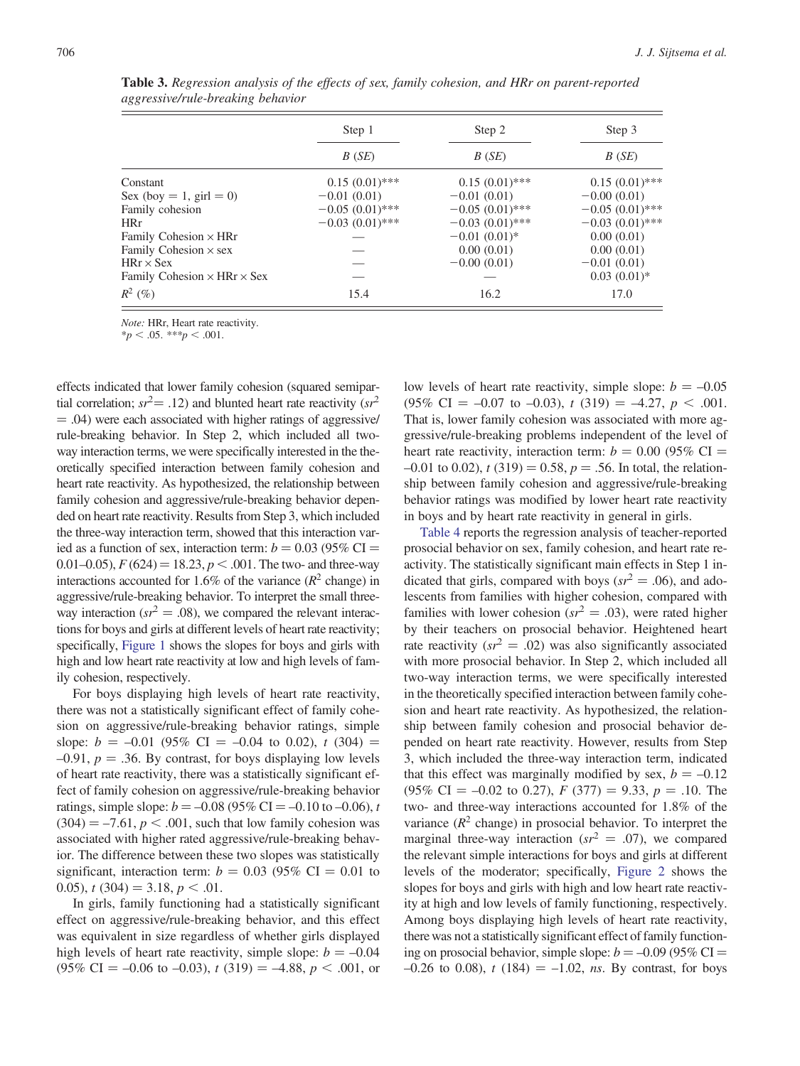|                                           | Step 1            | Step 2            | Step 3            |  |
|-------------------------------------------|-------------------|-------------------|-------------------|--|
|                                           | B(SE)             | B(SE)             | B(SE)             |  |
| Constant                                  | $0.15(0.01)$ ***  | $0.15(0.01)$ ***  | $0.15(0.01)$ ***  |  |
| Sex (boy = 1, girl = 0)                   | $-0.01(0.01)$     | $-0.01(0.01)$     | $-0.00(0.01)$     |  |
| Family cohesion                           | $-0.05(0.01)$ *** | $-0.05(0.01)$ *** | $-0.05(0.01)$ *** |  |
| HRr                                       | $-0.03(0.01)$ *** | $-0.03(0.01)$ *** | $-0.03(0.01)$ *** |  |
| Family Cohesion $\times$ HRr              |                   | $-0.01(0.01)$ *   | 0.00(0.01)        |  |
| Family Cohesion $\times$ sex              |                   | 0.00(0.01)        | 0.00(0.01)        |  |
| $\rm{HRr}\times \rm{Sex}$                 |                   | $-0.00(0.01)$     | $-0.01(0.01)$     |  |
| Family Cohesion $\times$ HRr $\times$ Sex |                   |                   | $0.03(0.01)*$     |  |
| $R^2$ (%)                                 | 15.4              | 16.2              | 17.0              |  |

<span id="page-7-0"></span>Table 3. Regression analysis of the effects of sex, family cohesion, and HRr on parent-reported aggressive/rule-breaking behavior

Note: HRr, Heart rate reactivity.

 $*_{p}$  < .05. \*\*\*p < .001.

effects indicated that lower family cohesion (squared semipartial correlation;  $sr^2 = .12$ ) and blunted heart rate reactivity ( $sr^2$  $= .04$ ) were each associated with higher ratings of aggressive/ rule-breaking behavior. In Step 2, which included all twoway interaction terms, we were specifically interested in the theoretically specified interaction between family cohesion and heart rate reactivity. As hypothesized, the relationship between family cohesion and aggressive/rule-breaking behavior depended on heart rate reactivity. Results from Step 3, which included the three-way interaction term, showed that this interaction varied as a function of sex, interaction term:  $b = 0.03$  (95% CI = 0.01–0.05),  $F(624) = 18.23, p < .001$ . The two- and three-way interactions accounted for 1.6% of the variance  $(R^2 \text{ change})$  in aggressive/rule-breaking behavior. To interpret the small threeway interaction ( $sr^2 = .08$ ), we compared the relevant interactions for boys and girls at different levels of heart rate reactivity; specifically, [Figure 1](#page-5-0) shows the slopes for boys and girls with high and low heart rate reactivity at low and high levels of family cohesion, respectively.

For boys displaying high levels of heart rate reactivity, there was not a statistically significant effect of family cohesion on aggressive/rule-breaking behavior ratings, simple slope:  $b = -0.01$  (95% CI = -0.04 to 0.02), t (304) =  $-0.91$ ,  $p = .36$ . By contrast, for boys displaying low levels of heart rate reactivity, there was a statistically significant effect of family cohesion on aggressive/rule-breaking behavior ratings, simple slope:  $b = -0.08$  (95% CI = -0.10 to -0.06), t  $(304) = -7.61$ ,  $p < .001$ , such that low family cohesion was associated with higher rated aggressive/rule-breaking behavior. The difference between these two slopes was statistically significant, interaction term:  $b = 0.03$  (95% CI = 0.01 to 0.05),  $t(304) = 3.18, p < .01$ .

In girls, family functioning had a statistically significant effect on aggressive/rule-breaking behavior, and this effect was equivalent in size regardless of whether girls displayed high levels of heart rate reactivity, simple slope:  $b = -0.04$  $(95\% \text{ CI} = -0.06 \text{ to } -0.03), t (319) = -4.88, p < .001, \text{ or }$ 

low levels of heart rate reactivity, simple slope:  $b = -0.05$  $(95\% \text{ CI} = -0.07 \text{ to } -0.03), t (319) = -4.27, p < .001.$ That is, lower family cohesion was associated with more aggressive/rule-breaking problems independent of the level of heart rate reactivity, interaction term:  $b = 0.00$  (95% CI =  $-0.01$  to 0.02),  $t(319) = 0.58$ ,  $p = .56$ . In total, the relationship between family cohesion and aggressive/rule-breaking behavior ratings was modified by lower heart rate reactivity in boys and by heart rate reactivity in general in girls.

[Table 4](#page-8-0) reports the regression analysis of teacher-reported prosocial behavior on sex, family cohesion, and heart rate reactivity. The statistically significant main effects in Step 1 indicated that girls, compared with boys ( $sr^2 = .06$ ), and adolescents from families with higher cohesion, compared with families with lower cohesion ( $sr^2 = .03$ ), were rated higher by their teachers on prosocial behavior. Heightened heart rate reactivity ( $sr^2 = .02$ ) was also significantly associated with more prosocial behavior. In Step 2, which included all two-way interaction terms, we were specifically interested in the theoretically specified interaction between family cohesion and heart rate reactivity. As hypothesized, the relationship between family cohesion and prosocial behavior depended on heart rate reactivity. However, results from Step 3, which included the three-way interaction term, indicated that this effect was marginally modified by sex,  $b = -0.12$  $(95\% \text{ CI} = -0.02 \text{ to } 0.27), F (377) = 9.33, p = .10.$  The two- and three-way interactions accounted for 1.8% of the variance  $(R^2 \text{ change})$  in prosocial behavior. To interpret the marginal three-way interaction ( $sr^2 = .07$ ), we compared the relevant simple interactions for boys and girls at different levels of the moderator; specifically, [Figure 2](#page-5-0) shows the slopes for boys and girls with high and low heart rate reactivity at high and low levels of family functioning, respectively. Among boys displaying high levels of heart rate reactivity, there was not a statistically significant effect of family functioning on prosocial behavior, simple slope:  $b = -0.09$  (95% CI =  $-0.26$  to 0.08),  $t(184) = -1.02$ , *ns.* By contrast, for boys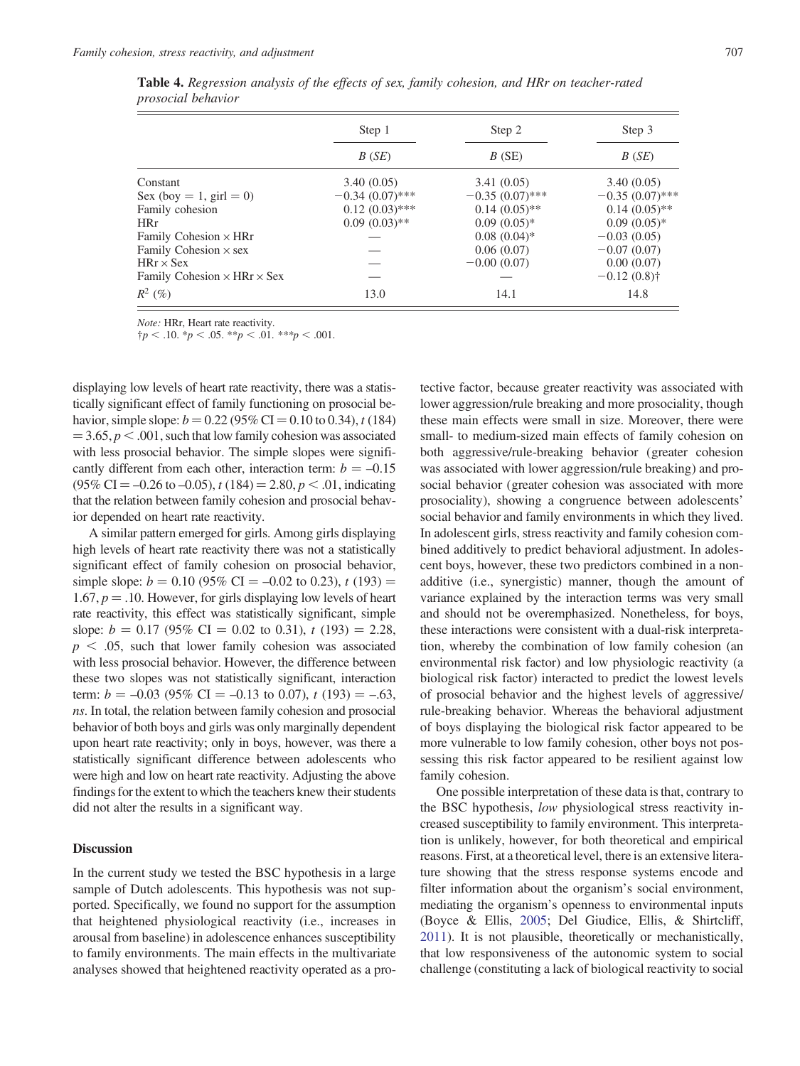|                                           | Step 1            | Step 2            | Step 3            |  |
|-------------------------------------------|-------------------|-------------------|-------------------|--|
|                                           | B(SE)             | B(SE)             | B(SE)             |  |
| Constant                                  | 3.40(0.05)        | 3.41(0.05)        | 3.40(0.05)        |  |
| Sex (boy = 1, girl = 0)                   | $-0.34(0.07)$ *** | $-0.35(0.07)$ *** | $-0.35(0.07)$ *** |  |
| Family cohesion                           | $0.12(0.03)$ ***  | $0.14(0.05)$ **   | $0.14(0.05)$ **   |  |
| HR <sub>r</sub>                           | $0.09(0.03)$ **   | $0.09(0.05)*$     | $0.09(0.05)*$     |  |
| Family Cohesion $\times$ HRr              |                   | $0.08(0.04)$ *    | $-0.03(0.05)$     |  |
| Family Cohesion $\times$ sex              |                   | 0.06(0.07)        | $-0.07(0.07)$     |  |
| $HRr \times Sex$                          |                   | $-0.00(0.07)$     | 0.00(0.07)        |  |
| Family Cohesion $\times$ HRr $\times$ Sex |                   |                   | $-0.12(0.8)$ †    |  |
| $R^2$ (%)                                 | 13.0              | 14.1              | 14.8              |  |

<span id="page-8-0"></span>Table 4. Regression analysis of the effects of sex, family cohesion, and HRr on teacher-rated prosocial behavior

Note: HRr, Heart rate reactivity.

 $\dagger p < .10.$  \* $p < .05.$  \*\* $p < .01.$  \*\*\* $p < .001.$ 

displaying low levels of heart rate reactivity, there was a statistically significant effect of family functioning on prosocial behavior, simple slope:  $b = 0.22$  (95% CI = 0.10 to 0.34), t (184)  $= 3.65, p < .001$ , such that low family cohesion was associated with less prosocial behavior. The simple slopes were significantly different from each other, interaction term:  $b = -0.15$  $(95\% \text{ CI} = -0.26 \text{ to } -0.05), t (184) = 2.80, p < .01, \text{ indicating}$ that the relation between family cohesion and prosocial behavior depended on heart rate reactivity.

A similar pattern emerged for girls. Among girls displaying high levels of heart rate reactivity there was not a statistically significant effect of family cohesion on prosocial behavior, simple slope:  $b = 0.10$  (95% CI = -0.02 to 0.23), t (193) = 1.67,  $p = .10$ . However, for girls displaying low levels of heart rate reactivity, this effect was statistically significant, simple slope:  $b = 0.17$  (95% CI = 0.02 to 0.31), t (193) = 2.28,  $p < .05$ , such that lower family cohesion was associated with less prosocial behavior. However, the difference between these two slopes was not statistically significant, interaction term:  $b = -0.03$  (95% CI = -0.13 to 0.07), t (193) = -.63, ns. In total, the relation between family cohesion and prosocial behavior of both boys and girls was only marginally dependent upon heart rate reactivity; only in boys, however, was there a statistically significant difference between adolescents who were high and low on heart rate reactivity. Adjusting the above findings for the extent to which the teachers knew their students did not alter the results in a significant way.

#### **Discussion**

In the current study we tested the BSC hypothesis in a large sample of Dutch adolescents. This hypothesis was not supported. Specifically, we found no support for the assumption that heightened physiological reactivity (i.e., increases in arousal from baseline) in adolescence enhances susceptibility to family environments. The main effects in the multivariate analyses showed that heightened reactivity operated as a protective factor, because greater reactivity was associated with lower aggression/rule breaking and more prosociality, though these main effects were small in size. Moreover, there were small- to medium-sized main effects of family cohesion on both aggressive/rule-breaking behavior (greater cohesion was associated with lower aggression/rule breaking) and prosocial behavior (greater cohesion was associated with more prosociality), showing a congruence between adolescents' social behavior and family environments in which they lived. In adolescent girls, stress reactivity and family cohesion combined additively to predict behavioral adjustment. In adolescent boys, however, these two predictors combined in a nonadditive (i.e., synergistic) manner, though the amount of variance explained by the interaction terms was very small and should not be overemphasized. Nonetheless, for boys, these interactions were consistent with a dual-risk interpretation, whereby the combination of low family cohesion (an environmental risk factor) and low physiologic reactivity (a biological risk factor) interacted to predict the lowest levels of prosocial behavior and the highest levels of aggressive/ rule-breaking behavior. Whereas the behavioral adjustment of boys displaying the biological risk factor appeared to be more vulnerable to low family cohesion, other boys not possessing this risk factor appeared to be resilient against low family cohesion.

One possible interpretation of these data is that, contrary to the BSC hypothesis, low physiological stress reactivity increased susceptibility to family environment. This interpretation is unlikely, however, for both theoretical and empirical reasons. First, at a theoretical level, there is an extensive literature showing that the stress response systems encode and filter information about the organism's social environment, mediating the organism's openness to environmental inputs (Boyce & Ellis, [2005](#page-12-0); Del Giudice, Ellis, & Shirtcliff, [2011\)](#page-12-0). It is not plausible, theoretically or mechanistically, that low responsiveness of the autonomic system to social challenge (constituting a lack of biological reactivity to social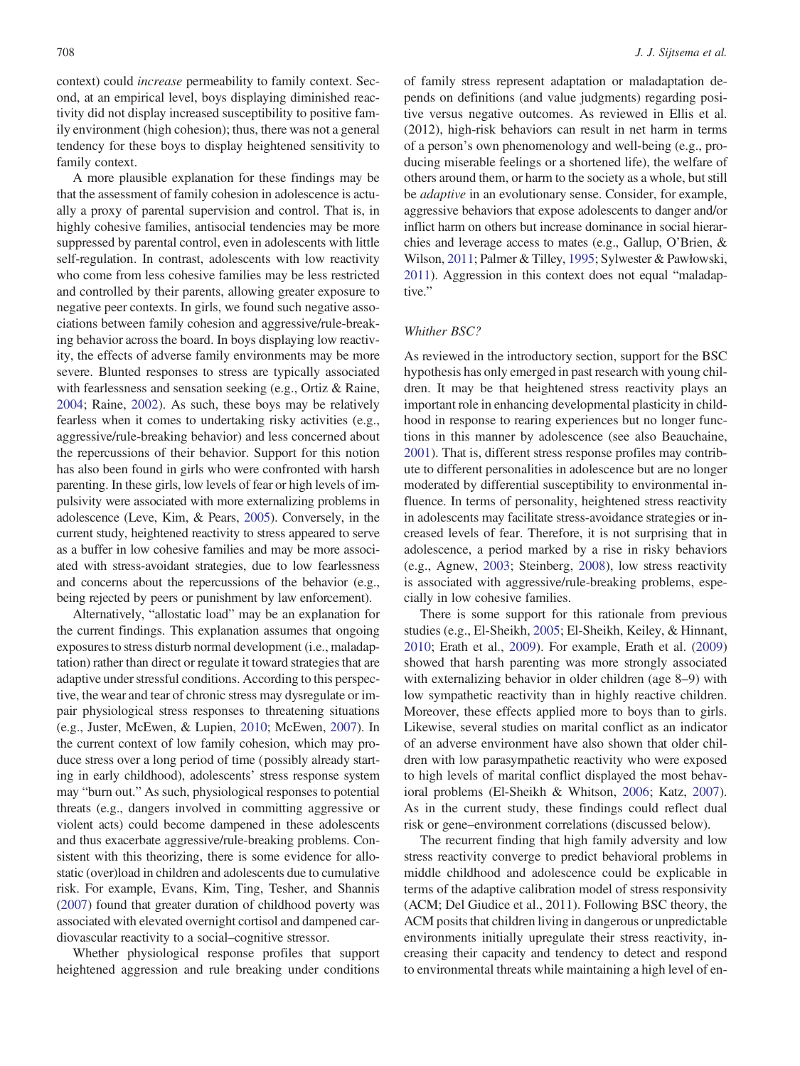context) could increase permeability to family context. Second, at an empirical level, boys displaying diminished reactivity did not display increased susceptibility to positive family environment (high cohesion); thus, there was not a general tendency for these boys to display heightened sensitivity to family context.

A more plausible explanation for these findings may be that the assessment of family cohesion in adolescence is actually a proxy of parental supervision and control. That is, in highly cohesive families, antisocial tendencies may be more suppressed by parental control, even in adolescents with little self-regulation. In contrast, adolescents with low reactivity who come from less cohesive families may be less restricted and controlled by their parents, allowing greater exposure to negative peer contexts. In girls, we found such negative associations between family cohesion and aggressive/rule-breaking behavior across the board. In boys displaying low reactivity, the effects of adverse family environments may be more severe. Blunted responses to stress are typically associated with fearlessness and sensation seeking (e.g., Ortiz & Raine, [2004](#page-13-0); Raine, [2002\)](#page-13-0). As such, these boys may be relatively fearless when it comes to undertaking risky activities (e.g., aggressive/rule-breaking behavior) and less concerned about the repercussions of their behavior. Support for this notion has also been found in girls who were confronted with harsh parenting. In these girls, low levels of fear or high levels of impulsivity were associated with more externalizing problems in adolescence (Leve, Kim, & Pears, [2005\)](#page-13-0). Conversely, in the current study, heightened reactivity to stress appeared to serve as a buffer in low cohesive families and may be more associated with stress-avoidant strategies, due to low fearlessness and concerns about the repercussions of the behavior (e.g., being rejected by peers or punishment by law enforcement).

Alternatively, "allostatic load" may be an explanation for the current findings. This explanation assumes that ongoing exposures to stress disturb normal development (i.e., maladaptation) rather than direct or regulate it toward strategies that are adaptive under stressful conditions. According to this perspective, the wear and tear of chronic stress may dysregulate or impair physiological stress responses to threatening situations (e.g., Juster, McEwen, & Lupien, [2010](#page-13-0); McEwen, [2007\)](#page-13-0). In the current context of low family cohesion, which may produce stress over a long period of time (possibly already starting in early childhood), adolescents' stress response system may "burn out." As such, physiological responses to potential threats (e.g., dangers involved in committing aggressive or violent acts) could become dampened in these adolescents and thus exacerbate aggressive/rule-breaking problems. Consistent with this theorizing, there is some evidence for allostatic (over)load in children and adolescents due to cumulative risk. For example, Evans, Kim, Ting, Tesher, and Shannis [\(2007](#page-12-0)) found that greater duration of childhood poverty was associated with elevated overnight cortisol and dampened cardiovascular reactivity to a social–cognitive stressor.

Whether physiological response profiles that support heightened aggression and rule breaking under conditions

of family stress represent adaptation or maladaptation depends on definitions (and value judgments) regarding positive versus negative outcomes. As reviewed in Ellis et al. (2012), high-risk behaviors can result in net harm in terms of a person's own phenomenology and well-being (e.g., producing miserable feelings or a shortened life), the welfare of others around them, or harm to the society as a whole, but still be adaptive in an evolutionary sense. Consider, for example, aggressive behaviors that expose adolescents to danger and/or inflict harm on others but increase dominance in social hierarchies and leverage access to mates (e.g., Gallup, O'Brien, & Wilson, [2011;](#page-12-0) Palmer & Tilley, [1995;](#page-13-0) Sylwester & Pawłowski, [2011\)](#page-13-0). Aggression in this context does not equal "maladaptive."

# Whither BSC?

As reviewed in the introductory section, support for the BSC hypothesis has only emerged in past research with young children. It may be that heightened stress reactivity plays an important role in enhancing developmental plasticity in childhood in response to rearing experiences but no longer functions in this manner by adolescence (see also Beauchaine, [2001](#page-12-0)). That is, different stress response profiles may contribute to different personalities in adolescence but are no longer moderated by differential susceptibility to environmental influence. In terms of personality, heightened stress reactivity in adolescents may facilitate stress-avoidance strategies or increased levels of fear. Therefore, it is not surprising that in adolescence, a period marked by a rise in risky behaviors (e.g., Agnew, [2003;](#page-12-0) Steinberg, [2008\)](#page-13-0), low stress reactivity is associated with aggressive/rule-breaking problems, especially in low cohesive families.

There is some support for this rationale from previous studies (e.g., El-Sheikh, [2005;](#page-12-0) El-Sheikh, Keiley, & Hinnant, [2010](#page-12-0); Erath et al., [2009](#page-12-0)). For example, Erath et al. ([2009\)](#page-12-0) showed that harsh parenting was more strongly associated with externalizing behavior in older children (age 8–9) with low sympathetic reactivity than in highly reactive children. Moreover, these effects applied more to boys than to girls. Likewise, several studies on marital conflict as an indicator of an adverse environment have also shown that older children with low parasympathetic reactivity who were exposed to high levels of marital conflict displayed the most behavioral problems (El-Sheikh & Whitson, [2006](#page-12-0); Katz, [2007](#page-13-0)). As in the current study, these findings could reflect dual risk or gene–environment correlations (discussed below).

The recurrent finding that high family adversity and low stress reactivity converge to predict behavioral problems in middle childhood and adolescence could be explicable in terms of the adaptive calibration model of stress responsivity (ACM; Del Giudice et al., 2011). Following BSC theory, the ACM posits that children living in dangerous or unpredictable environments initially upregulate their stress reactivity, increasing their capacity and tendency to detect and respond to environmental threats while maintaining a high level of en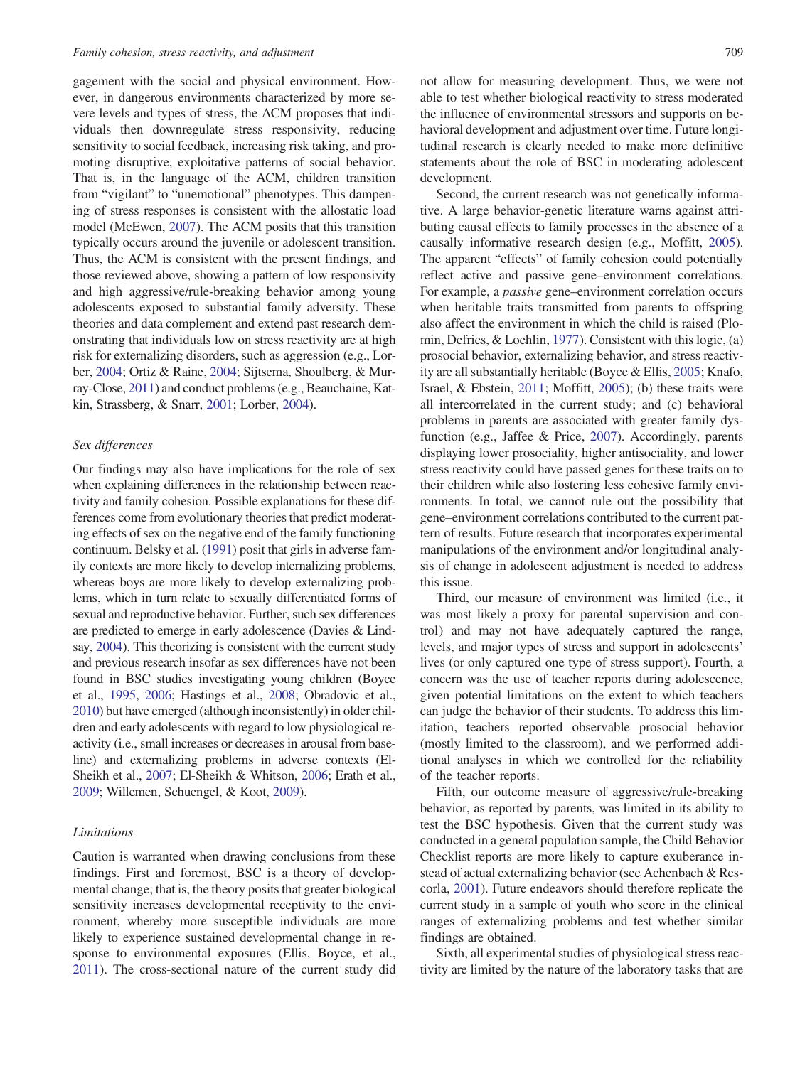gagement with the social and physical environment. However, in dangerous environments characterized by more severe levels and types of stress, the ACM proposes that individuals then downregulate stress responsivity, reducing sensitivity to social feedback, increasing risk taking, and promoting disruptive, exploitative patterns of social behavior. That is, in the language of the ACM, children transition from "vigilant" to "unemotional" phenotypes. This dampening of stress responses is consistent with the allostatic load model (McEwen, [2007\)](#page-13-0). The ACM posits that this transition typically occurs around the juvenile or adolescent transition. Thus, the ACM is consistent with the present findings, and those reviewed above, showing a pattern of low responsivity and high aggressive/rule-breaking behavior among young adolescents exposed to substantial family adversity. These theories and data complement and extend past research demonstrating that individuals low on stress reactivity are at high risk for externalizing disorders, such as aggression (e.g., Lorber, [2004;](#page-13-0) Ortiz & Raine, [2004;](#page-13-0) Sijtsema, Shoulberg, & Murray-Close, [2011\)](#page-13-0) and conduct problems (e.g., Beauchaine, Katkin, Strassberg, & Snarr, [2001;](#page-12-0) Lorber, [2004](#page-13-0)).

## Sex differences

Our findings may also have implications for the role of sex when explaining differences in the relationship between reactivity and family cohesion. Possible explanations for these differences come from evolutionary theories that predict moderating effects of sex on the negative end of the family functioning continuum. Belsky et al. [\(1991\)](#page-12-0) posit that girls in adverse family contexts are more likely to develop internalizing problems, whereas boys are more likely to develop externalizing problems, which in turn relate to sexually differentiated forms of sexual and reproductive behavior. Further, such sex differences are predicted to emerge in early adolescence (Davies & Lindsay, [2004\)](#page-12-0). This theorizing is consistent with the current study and previous research insofar as sex differences have not been found in BSC studies investigating young children (Boyce et al., [1995,](#page-12-0) [2006](#page-12-0); Hastings et al., [2008](#page-12-0); Obradovic et al., [2010\)](#page-13-0) but have emerged (although inconsistently) in older children and early adolescents with regard to low physiological reactivity (i.e., small increases or decreases in arousal from baseline) and externalizing problems in adverse contexts (El-Sheikh et al., [2007;](#page-12-0) El-Sheikh & Whitson, [2006](#page-12-0); Erath et al., [2009;](#page-12-0) Willemen, Schuengel, & Koot, [2009](#page-13-0)).

## Limitations

Caution is warranted when drawing conclusions from these findings. First and foremost, BSC is a theory of developmental change; that is, the theory posits that greater biological sensitivity increases developmental receptivity to the environment, whereby more susceptible individuals are more likely to experience sustained developmental change in response to environmental exposures (Ellis, Boyce, et al., [2011](#page-12-0)). The cross-sectional nature of the current study did not allow for measuring development. Thus, we were not able to test whether biological reactivity to stress moderated the influence of environmental stressors and supports on behavioral development and adjustment over time. Future longitudinal research is clearly needed to make more definitive statements about the role of BSC in moderating adolescent development.

Second, the current research was not genetically informative. A large behavior-genetic literature warns against attributing causal effects to family processes in the absence of a causally informative research design (e.g., Moffitt, [2005](#page-13-0)). The apparent "effects" of family cohesion could potentially reflect active and passive gene–environment correlations. For example, a passive gene–environment correlation occurs when heritable traits transmitted from parents to offspring also affect the environment in which the child is raised (Plomin, Defries, & Loehlin, [1977](#page-13-0)). Consistent with this logic, (a) prosocial behavior, externalizing behavior, and stress reactivity are all substantially heritable (Boyce & Ellis, [2005](#page-12-0); Knafo, Israel, & Ebstein, [2011;](#page-13-0) Moffitt, [2005](#page-13-0)); (b) these traits were all intercorrelated in the current study; and (c) behavioral problems in parents are associated with greater family dysfunction (e.g., Jaffee & Price, [2007](#page-13-0)). Accordingly, parents displaying lower prosociality, higher antisociality, and lower stress reactivity could have passed genes for these traits on to their children while also fostering less cohesive family environments. In total, we cannot rule out the possibility that gene–environment correlations contributed to the current pattern of results. Future research that incorporates experimental manipulations of the environment and/or longitudinal analysis of change in adolescent adjustment is needed to address this issue.

Third, our measure of environment was limited (i.e., it was most likely a proxy for parental supervision and control) and may not have adequately captured the range, levels, and major types of stress and support in adolescents' lives (or only captured one type of stress support). Fourth, a concern was the use of teacher reports during adolescence, given potential limitations on the extent to which teachers can judge the behavior of their students. To address this limitation, teachers reported observable prosocial behavior (mostly limited to the classroom), and we performed additional analyses in which we controlled for the reliability of the teacher reports.

Fifth, our outcome measure of aggressive/rule-breaking behavior, as reported by parents, was limited in its ability to test the BSC hypothesis. Given that the current study was conducted in a general population sample, the Child Behavior Checklist reports are more likely to capture exuberance instead of actual externalizing behavior (see Achenbach & Rescorla, [2001\)](#page-12-0). Future endeavors should therefore replicate the current study in a sample of youth who score in the clinical ranges of externalizing problems and test whether similar findings are obtained.

Sixth, all experimental studies of physiological stress reactivity are limited by the nature of the laboratory tasks that are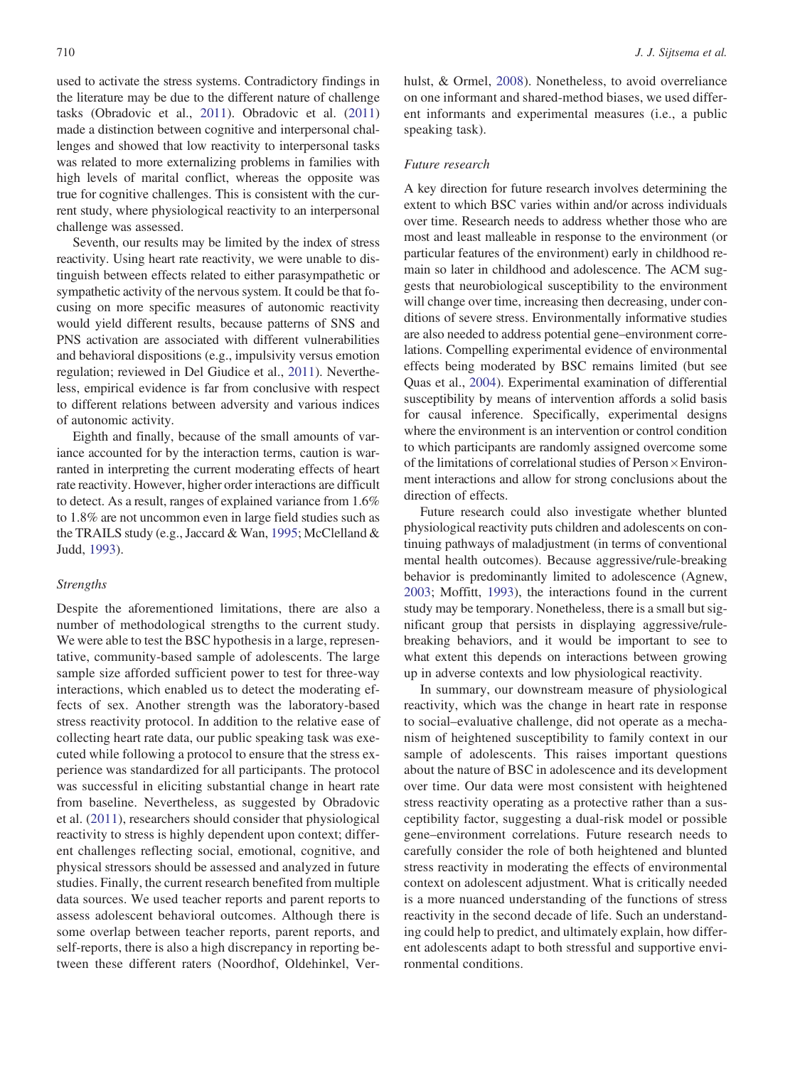used to activate the stress systems. Contradictory findings in the literature may be due to the different nature of challenge tasks (Obradovic et al., [2011\)](#page-13-0). Obradovic et al. ([2011\)](#page-13-0) made a distinction between cognitive and interpersonal challenges and showed that low reactivity to interpersonal tasks was related to more externalizing problems in families with high levels of marital conflict, whereas the opposite was true for cognitive challenges. This is consistent with the current study, where physiological reactivity to an interpersonal challenge was assessed.

Seventh, our results may be limited by the index of stress reactivity. Using heart rate reactivity, we were unable to distinguish between effects related to either parasympathetic or sympathetic activity of the nervous system. It could be that focusing on more specific measures of autonomic reactivity would yield different results, because patterns of SNS and PNS activation are associated with different vulnerabilities and behavioral dispositions (e.g., impulsivity versus emotion regulation; reviewed in Del Giudice et al., [2011\)](#page-12-0). Nevertheless, empirical evidence is far from conclusive with respect to different relations between adversity and various indices of autonomic activity.

Eighth and finally, because of the small amounts of variance accounted for by the interaction terms, caution is warranted in interpreting the current moderating effects of heart rate reactivity. However, higher order interactions are difficult to detect. As a result, ranges of explained variance from 1.6% to 1.8% are not uncommon even in large field studies such as the TRAILS study (e.g., Jaccard & Wan, [1995](#page-13-0); McClelland & Judd, [1993](#page-13-0)).

#### Strengths

Despite the aforementioned limitations, there are also a number of methodological strengths to the current study. We were able to test the BSC hypothesis in a large, representative, community-based sample of adolescents. The large sample size afforded sufficient power to test for three-way interactions, which enabled us to detect the moderating effects of sex. Another strength was the laboratory-based stress reactivity protocol. In addition to the relative ease of collecting heart rate data, our public speaking task was executed while following a protocol to ensure that the stress experience was standardized for all participants. The protocol was successful in eliciting substantial change in heart rate from baseline. Nevertheless, as suggested by Obradovic et al. [\(2011\)](#page-13-0), researchers should consider that physiological reactivity to stress is highly dependent upon context; different challenges reflecting social, emotional, cognitive, and physical stressors should be assessed and analyzed in future studies. Finally, the current research benefited from multiple data sources. We used teacher reports and parent reports to assess adolescent behavioral outcomes. Although there is some overlap between teacher reports, parent reports, and self-reports, there is also a high discrepancy in reporting between these different raters (Noordhof, Oldehinkel, Verhulst, & Ormel, [2008\)](#page-13-0). Nonetheless, to avoid overreliance on one informant and shared-method biases, we used different informants and experimental measures (i.e., a public speaking task).

# Future research

A key direction for future research involves determining the extent to which BSC varies within and/or across individuals over time. Research needs to address whether those who are most and least malleable in response to the environment (or particular features of the environment) early in childhood remain so later in childhood and adolescence. The ACM suggests that neurobiological susceptibility to the environment will change over time, increasing then decreasing, under conditions of severe stress. Environmentally informative studies are also needed to address potential gene–environment correlations. Compelling experimental evidence of environmental effects being moderated by BSC remains limited (but see Quas et al., [2004\)](#page-13-0). Experimental examination of differential susceptibility by means of intervention affords a solid basis for causal inference. Specifically, experimental designs where the environment is an intervention or control condition to which participants are randomly assigned overcome some of the limitations of correlational studies of  $Person \times Environment$ ment interactions and allow for strong conclusions about the direction of effects.

Future research could also investigate whether blunted physiological reactivity puts children and adolescents on continuing pathways of maladjustment (in terms of conventional mental health outcomes). Because aggressive/rule-breaking behavior is predominantly limited to adolescence (Agnew, [2003](#page-12-0); Moffitt, [1993\)](#page-13-0), the interactions found in the current study may be temporary. Nonetheless, there is a small but significant group that persists in displaying aggressive/rulebreaking behaviors, and it would be important to see to what extent this depends on interactions between growing up in adverse contexts and low physiological reactivity.

In summary, our downstream measure of physiological reactivity, which was the change in heart rate in response to social–evaluative challenge, did not operate as a mechanism of heightened susceptibility to family context in our sample of adolescents. This raises important questions about the nature of BSC in adolescence and its development over time. Our data were most consistent with heightened stress reactivity operating as a protective rather than a susceptibility factor, suggesting a dual-risk model or possible gene–environment correlations. Future research needs to carefully consider the role of both heightened and blunted stress reactivity in moderating the effects of environmental context on adolescent adjustment. What is critically needed is a more nuanced understanding of the functions of stress reactivity in the second decade of life. Such an understanding could help to predict, and ultimately explain, how different adolescents adapt to both stressful and supportive environmental conditions.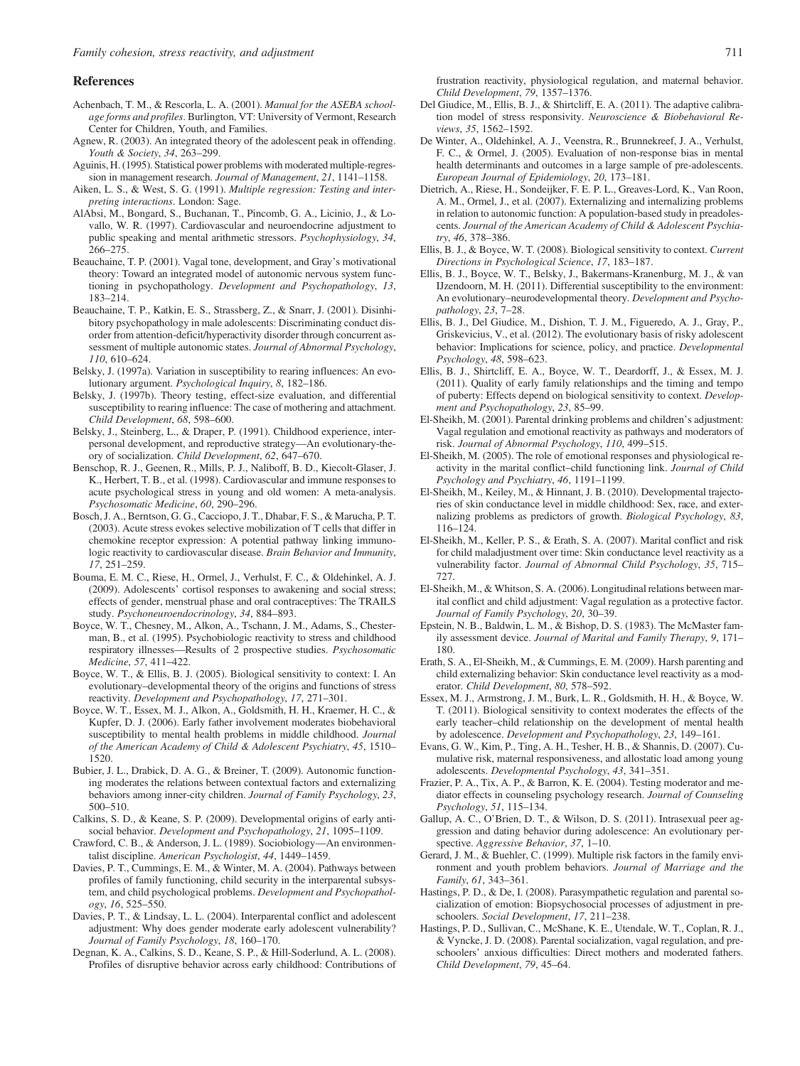#### <span id="page-12-0"></span>References

- Achenbach, T. M., & Rescorla, L. A. (2001). Manual for the ASEBA schoolage forms and profiles. Burlington, VT: University of Vermont, Research Center for Children, Youth, and Families.
- Agnew, R. (2003). An integrated theory of the adolescent peak in offending. Youth & Society, 34, 263-299.
- Aguinis, H. (1995). Statistical power problems with moderated multiple-regression in management research. Journal of Management, 21, 1141–1158.
- Aiken, L. S., & West, S. G. (1991). Multiple regression: Testing and interpreting interactions. London: Sage.
- AlAbsi, M., Bongard, S., Buchanan, T., Pincomb, G. A., Licinio, J., & Lovallo, W. R. (1997). Cardiovascular and neuroendocrine adjustment to public speaking and mental arithmetic stressors. Psychophysiology, 34, 266–275.
- Beauchaine, T. P. (2001). Vagal tone, development, and Gray's motivational theory: Toward an integrated model of autonomic nervous system functioning in psychopathology. Development and Psychopathology, 13, 183–214.
- Beauchaine, T. P., Katkin, E. S., Strassberg, Z., & Snarr, J. (2001). Disinhibitory psychopathology in male adolescents: Discriminating conduct disorder from attention-deficit/hyperactivity disorder through concurrent assessment of multiple autonomic states. Journal of Abnormal Psychology, 110, 610–624.
- Belsky, J. (1997a). Variation in susceptibility to rearing influences: An evolutionary argument. Psychological Inquiry, 8, 182–186.
- Belsky, J. (1997b). Theory testing, effect-size evaluation, and differential susceptibility to rearing influence: The case of mothering and attachment. Child Development, 68, 598–600.
- Belsky, J., Steinberg, L., & Draper, P. (1991). Childhood experience, interpersonal development, and reproductive strategy—An evolutionary-theory of socialization. Child Development, 62, 647–670.
- Benschop, R. J., Geenen, R., Mills, P. J., Naliboff, B. D., Kiecolt-Glaser, J. K., Herbert, T. B., et al. (1998). Cardiovascular and immune responses to acute psychological stress in young and old women: A meta-analysis. Psychosomatic Medicine, 60, 290–296.
- Bosch, J. A., Berntson, G. G., Cacciopo, J. T., Dhabar, F. S., & Marucha, P. T. (2003). Acute stress evokes selective mobilization of T cells that differ in chemokine receptor expression: A potential pathway linking immunologic reactivity to cardiovascular disease. Brain Behavior and Immunity, 17, 251–259.
- Bouma, E. M. C., Riese, H., Ormel, J., Verhulst, F. C., & Oldehinkel, A. J. (2009). Adolescents' cortisol responses to awakening and social stress; effects of gender, menstrual phase and oral contraceptives: The TRAILS study. Psychoneuroendocrinology, 34, 884–893.
- Boyce, W. T., Chesney, M., Alkon, A., Tschann, J. M., Adams, S., Chesterman, B., et al. (1995). Psychobiologic reactivity to stress and childhood respiratory illnesses—Results of 2 prospective studies. Psychosomatic Medicine, 57, 411–422.
- Boyce, W. T., & Ellis, B. J. (2005). Biological sensitivity to context: I. An evolutionary–developmental theory of the origins and functions of stress reactivity. Development and Psychopathology, 17, 271–301.
- Boyce, W. T., Essex, M. J., Alkon, A., Goldsmith, H. H., Kraemer, H. C., & Kupfer, D. J. (2006). Early father involvement moderates biobehavioral susceptibility to mental health problems in middle childhood. Journal of the American Academy of Child & Adolescent Psychiatry, 45, 1510– 1520.
- Bubier, J. L., Drabick, D. A. G., & Breiner, T. (2009). Autonomic functioning moderates the relations between contextual factors and externalizing behaviors among inner-city children. Journal of Family Psychology, 23, 500–510.
- Calkins, S. D., & Keane, S. P. (2009). Developmental origins of early antisocial behavior. Development and Psychopathology, 21, 1095–1109.
- Crawford, C. B., & Anderson, J. L. (1989). Sociobiology—An environmentalist discipline. American Psychologist, 44, 1449–1459.
- Davies, P. T., Cummings, E. M., & Winter, M. A. (2004). Pathways between profiles of family functioning, child security in the interparental subsystem, and child psychological problems. Development and Psychopathology, 16, 525–550.
- Davies, P. T., & Lindsay, L. L. (2004). Interparental conflict and adolescent adjustment: Why does gender moderate early adolescent vulnerability? Journal of Family Psychology, 18, 160–170.
- Degnan, K. A., Calkins, S. D., Keane, S. P., & Hill-Soderlund, A. L. (2008). Profiles of disruptive behavior across early childhood: Contributions of

frustration reactivity, physiological regulation, and maternal behavior. Child Development, 79, 1357–1376.

- Del Giudice, M., Ellis, B. J., & Shirtcliff, E. A. (2011). The adaptive calibration model of stress responsivity. Neuroscience & Biobehavioral Reviews, 35, 1562–1592.
- De Winter, A., Oldehinkel, A. J., Veenstra, R., Brunnekreef, J. A., Verhulst, F. C., & Ormel, J. (2005). Evaluation of non-response bias in mental health determinants and outcomes in a large sample of pre-adolescents. European Journal of Epidemiology, 20, 173–181.
- Dietrich, A., Riese, H., Sondeijker, F. E. P. L., Greaves-Lord, K., Van Roon, A. M., Ormel, J., et al. (2007). Externalizing and internalizing problems in relation to autonomic function: A population-based study in preadolescents. Journal of the American Academy of Child & Adolescent Psychiatry, 46, 378–386.
- Ellis, B. J., & Boyce, W. T. (2008). Biological sensitivity to context. Current Directions in Psychological Science, 17, 183–187.
- Ellis, B. J., Boyce, W. T., Belsky, J., Bakermans-Kranenburg, M. J., & van IJzendoorn, M. H. (2011). Differential susceptibility to the environment: An evolutionary–neurodevelopmental theory. Development and Psychopathology, 23, 7–28.
- Ellis, B. J., Del Giudice, M., Dishion, T. J. M., Figueredo, A. J., Gray, P., Griskevicius, V., et al. (2012). The evolutionary basis of risky adolescent behavior: Implications for science, policy, and practice. Developmental Psychology, 48, 598–623.
- Ellis, B. J., Shirtcliff, E. A., Boyce, W. T., Deardorff, J., & Essex, M. J. (2011). Quality of early family relationships and the timing and tempo of puberty: Effects depend on biological sensitivity to context. Development and Psychopathology, 23, 85–99.
- El-Sheikh, M. (2001). Parental drinking problems and children's adjustment: Vagal regulation and emotional reactivity as pathways and moderators of risk. Journal of Abnormal Psychology, 110, 499–515.
- El-Sheikh, M. (2005). The role of emotional responses and physiological reactivity in the marital conflict–child functioning link. Journal of Child Psychology and Psychiatry, 46, 1191–1199.
- El-Sheikh, M., Keiley, M., & Hinnant, J. B. (2010). Developmental trajectories of skin conductance level in middle childhood: Sex, race, and externalizing problems as predictors of growth. Biological Psychology, 83, 116–124.
- El-Sheikh, M., Keller, P. S., & Erath, S. A. (2007). Marital conflict and risk for child maladjustment over time: Skin conductance level reactivity as a vulnerability factor. Journal of Abnormal Child Psychology, 35, 715– 727.
- El-Sheikh, M., & Whitson, S. A. (2006). Longitudinal relations between marital conflict and child adjustment: Vagal regulation as a protective factor. Journal of Family Psychology, 20, 30–39.
- Epstein, N. B., Baldwin, L. M., & Bishop, D. S. (1983). The McMaster family assessment device. Journal of Marital and Family Therapy, 9, 171– 180.
- Erath, S. A., El-Sheikh, M., & Cummings, E. M. (2009). Harsh parenting and child externalizing behavior: Skin conductance level reactivity as a moderator. Child Development, 80, 578–592.
- Essex, M. J., Armstrong, J. M., Burk, L. R., Goldsmith, H. H., & Boyce, W. T. (2011). Biological sensitivity to context moderates the effects of the early teacher–child relationship on the development of mental health by adolescence. Development and Psychopathology, 23, 149–161.
- Evans, G. W., Kim, P., Ting, A. H., Tesher, H. B., & Shannis, D. (2007). Cumulative risk, maternal responsiveness, and allostatic load among young adolescents. Developmental Psychology, 43, 341–351.
- Frazier, P. A., Tix, A. P., & Barron, K. E. (2004). Testing moderator and mediator effects in counseling psychology research. Journal of Counseling Psychology, 51, 115–134.
- Gallup, A. C., O'Brien, D. T., & Wilson, D. S. (2011). Intrasexual peer aggression and dating behavior during adolescence: An evolutionary perspective. Aggressive Behavior, 37, 1–10.
- Gerard, J. M., & Buehler, C. (1999). Multiple risk factors in the family environment and youth problem behaviors. Journal of Marriage and the Family, 61, 343–361.
- Hastings, P. D., & De, I. (2008). Parasympathetic regulation and parental socialization of emotion: Biopsychosocial processes of adjustment in preschoolers. Social Development, 17, 211–238.
- Hastings, P. D., Sullivan, C., McShane, K. E., Utendale, W. T., Coplan, R. J., & Vyncke, J. D. (2008). Parental socialization, vagal regulation, and preschoolers' anxious difficulties: Direct mothers and moderated fathers. Child Development, 79, 45–64.